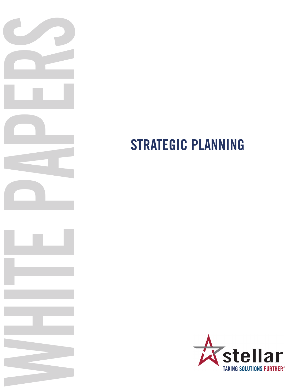

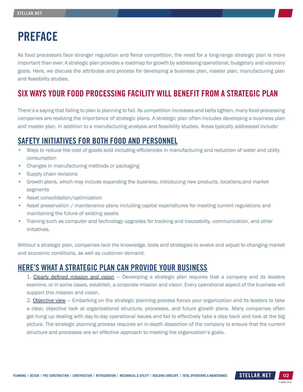# PREFACE

As food processors face stronger regulation and fierce competition, the need for a long-range strategic plan is more important than ever. A strategic plan provides a roadmap for growth by addressing operational, budgetary and visionary goals. Here, we discuss the attributes and process for developing a business plan, master plan, manufacturing plan and feasibility studies.

## SIX WAYS YOUR FOOD PROCESSING FACILITY WILL BENEFIT FROM A STRATEGIC PLAN

There's a saying that failing to plan is planning to fail. As competition increases and belts tighten, many food-processing companies are realizing the importance of strategic plans. A strategic plan often includes developing a business plan and master plan, in addition to a manufacturing analysis and feasibility studies. Areas typically addressed include:

## SAFETY INITIATIVES FOR BOTH FOOD AND PERSONNEL

- Ways to reduce the cost of goods sold including efficiencies in manufacturing and reduction of water and utility consumption
- Changes in manufacturing methods or packaging
- Supply chain revisions
- Growth plans, which may include expanding the business, introducing new products, locations,and market segments
- Asset consolidation/optimization
- Asset preservation / maintenance plans including capital expenditures for meeting current regulations and maintaining the future of existing assets
- Training such as computer and technology upgrades for tracking and traceability, communication, and other initiatives.

Without a strategic plan, companies lack the knowledge, tools and strategies to evolve and adjust to changing market and economic conditions, as well as customer demand.

#### HERE'S WHAT A STRATEGIC PLAN CAN PROVIDE YOUR BUSINESS

1. Clearly defined mission and vision – Developing a strategic plan requires that a company and its leaders examine, or in some cases, establish, a corporate mission and vision. Every operational aspect of the business will support this mission and vision.

2. Objective view — Embarking on the strategic planning process forces your organization and its leaders to take a clear, objective look at organizational structure, processes, and future growth plans. Many companies often get hung up dealing with day-to-day operational issues and fail to effectively take a step back and look at the big picture. The strategic planning process requires an in-depth dissection of the company to ensure that the current structure and processes are an effective approach to meeting the organization's goals.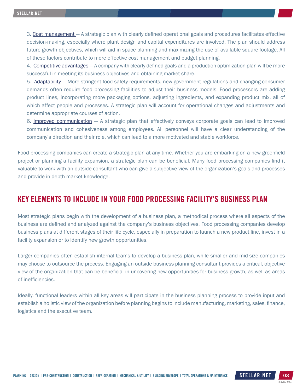3. Cost management - A strategic plan with clearly defined operational goals and procedures facilitates effective decision-making, especially where plant design and capital expenditures are involved. The plan should address future growth objectives, which will aid in space planning and maximizing the use of available square footage. All of these factors contribute to more effective cost management and budget planning.

4. Competitive advantages - A company with clearly defined goals and a production optimization plan will be more successful in meeting its business objectives and obtaining market share.

5. Adaptability - More stringent food safety requirements, new government regulations and changing consumer demands often require food processing facilities to adjust their business models. Food processors are adding product lines, incorporating more packaging options, adjusting ingredients, and expanding product mix, all of which affect people and processes. A strategic plan will account for operational changes and adjustments and determine appropriate courses of action.

6. Improved communication — A strategic plan that effectively conveys corporate goals can lead to improved communication and cohesiveness among employees. All personnel will have a clear understanding of the company's direction and their role, which can lead to a more motivated and stable workforce.

Food processing companies can create a strategic plan at any time. Whether you are embarking on a new greenfield project or planning a facility expansion, a strategic plan can be beneficial. Many food processing companies find it valuable to work with an outside consultant who can give a subjective view of the organization's goals and processes and provide in-depth market knowledge.

#### KEY ELEMENTS TO INCLUDE IN YOUR FOOD PROCESSING FACILITY'S BUSINESS PLAN

Most strategic plans begin with the development of a business plan, a methodical process where all aspects of the business are defined and analyzed against the company's business objectives. Food processing companies develop business plans at different stages of their life cycle, especially in preparation to launch a new product line, invest in a facility expansion or to identify new growth opportunities.

Larger companies often establish internal teams to develop a business plan, while smaller and mid-size companies may choose to outsource the process. Engaging an outside business planning consultant provides a critical, objective view of the organization that can be beneficial in uncovering new opportunities for business growth, as well as areas of inefficiencies.

Ideally, functional leaders within all key areas will participate in the business planning process to provide input and establish a holistic view of the organization before planning begins to include manufacturing, marketing, sales, finance, logistics and the executive team.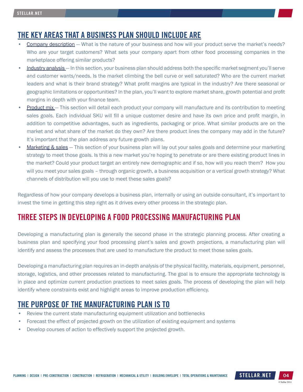#### THE KEY AREAS THAT A BUSINESS PLAN SHOULD INCLUDE ARE

- Company description What is the nature of your business and how will your product serve the market's needs? Who are your target customers? What sets your company apart from other food processing companies in the marketplace offering similar products?
- Industry analysis In this section, your business plan should address both the specific market segment you'll serve and customer wants/needs. Is the market climbing the bell curve or well saturated? Who are the current market leaders and what is their brand strategy? What profit margins are typical in the industry? Are there seasonal or geographic limitations or opportunities? In the plan, you'll want to explore market share, growth potential and profit margins in depth with your finance team.
- Product mix This section will detail each product your company will manufacture and its contribution to meeting sales goals. Each individual SKU will fill a unique customer desire and have its own price and profit margin, in addition to competitive advantages, such as ingredients, packaging or price. What similar products are on the market and what share of the market do they own? Are there product lines the company may add in the future? It's important that the plan address any future growth plans.
- Marketing & sales This section of your business plan will lay out your sales goals and determine your marketing strategy to meet those goals. Is this a new market you're hoping to penetrate or are there existing product lines in the market? Could your product target an entirely new demographic and if so, how will you reach them? How you will you meet your sales goals – through organic growth, a business acquisition or a vertical growth strategy? What channels of distribution will you use to meet these sales goals?

Regardless of how your company develops a business plan, internally or using an outside consultant, it's important to invest the time in getting this step right as it drives every other process in the strategic plan.

## THREE STEPS IN DEVELOPING A FOOD PROCESSING MANUFACTURING PLAN

Developing a manufacturing plan is generally the second phase in the strategic planning process. After creating a business plan and specifying your food processing plant's sales and growth projections, a manufacturing plan will identify and assess the processes that are used to manufacture the product to meet those sales goals.

Developing a manufacturing plan requires an in-depth analysis of the physical facility, materials, equipment, personnel, storage, logistics, and other processes related to manufacturing. The goal is to ensure the appropriate technology is in place and optimize current production practices to meet sales goals. The process of developing the plan will help identify where constraints exist and highlight areas to improve production efficiency.

## THE PURPOSE OF THE MANUFACTURING PLAN IS TO

- Review the current state manufacturing equipment utilization and bottlenecks
- Forecast the effect of projected growth on the utilization of existing equipment and systems
- Develop courses of action to effectively support the projected growth.

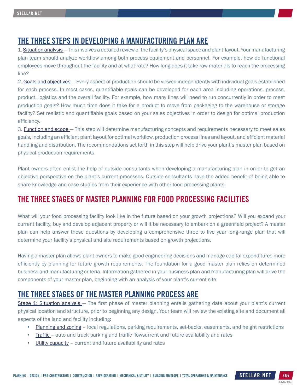#### THE THREE STEPS IN DEVELOPING A MANUFACTURING PLAN ARE

1. Situation analysis — This involves a detailed review of the facility's physical space and plant layout. Your manufacturing plan team should analyze workflow among both process equipment and personnel. For example, how do functional employees move throughout the facility and at what rate? How long does it take raw materials to reach the processing line?

2. Goals and objectives - Every aspect of production should be viewed independently with individual goals established for each process. In most cases, quantifiable goals can be developed for each area including operations, process, product, logistics and the overall facility. For example, how many lines will need to run concurrently in order to meet production goals? How much time does it take for a product to move from packaging to the warehouse or storage facility? Set realistic and quantifiable goals based on your sales objectives in order to design for optimal production efficiency.

3. **Function and scope** – This step will determine manufacturing concepts and requirements necessary to meet sales goals, including an efficient plant layout for optimal workflow, production process lines and layout, and efficient material handling and distribution. The recommendations set forth in this step will help drive your plant's master plan based on physical production requirements.

Plant owners often enlist the help of outside consultants when developing a manufacturing plan in order to get an objective perspective on the plant's current processes. Outside consultants have the added benefit of being able to share knowledge and case studies from their experience with other food processing plants.

## THE THREE STAGES OF MASTER PLANNING FOR FOOD PROCESSING FACILITIES

What will your food processing facility look like in the future based on your growth projections? Will you expand your current facility, buy and develop adjacent property or will it be necessary to embark on a greenfield project? A master plan can help answer these questions by developing a comprehensive three to five year long-range plan that will determine your facility's physical and site requirements based on growth projections.

Having a master plan allows plant owners to make good engineering decisions and manage capital expenditures more efficiently by planning for future growth requirements. The foundation for a good master plan relies on determined business and manufacturing criteria. Information gathered in your business plan and manufacturing plan will drive the components of your master plan, beginning with an analysis of your plant's current site.

#### THE THREE STAGES OF THE MASTER PLANNING PROCESS ARE

Stage 1: Situation analysis – The first phase of master planning entails gathering data about your plant's current physical location and structure, prior to beginning any design. Your team will review the existing site and document all aspects of the land and facility including:

- Planning and zoning local regulations, parking requirements, set-backs, easements, and height restrictions
- Traffic auto and truck parking and traffic flowsurrent and future availability and rates
- Utility capacity current and future availability and rates

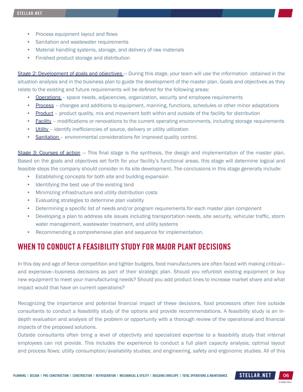- Process equipment layout and flows
- Sanitation and wastewater requirements
- Material handling systems, storage, and delivery of raw materials
- Finished product storage and distribution

Stage 2: Development of goals and objectives - During this stage, your team will use the information obtained in the situation analysis and in the business plan to guide the development of the master plan. Goals and objectives as they relate to the existing and future requirements will be defined for the following areas:

- Operations space needs, adjacencies, organization, security and employee requirements
- Process changes and additions to equipment, manning, functions, schedules or other minor adaptations
- Product product quality, mix and movement both within and outside of the facility for distribution
- Facility modifications or renovations to the current operating environments, including storage requirements
- Utility identify inefficiencies of source, delivery or utility utilization
- Sanitation environmental considerations for improved quality control.

Stage 3: Courses of action – This final stage is the synthesis, the design and implementation of the master plan. Based on the goals and objectives set forth for your facility's functional areas, this stage will determine logical and feasible steps the company should consider in its site development. The conclusions in this stage generally include:

- Establishing concepts for both site and building expansion
- Identifying the best use of the existing land
- Minimizing infrastructure and utility distribution costs
- Evaluating strategies to determine plan viability
- Determining a specific list of needs and/or program requirements for each master plan component
- Developing a plan to address site issues including transportation needs, site security, vehicular traffic, storm water management, wastewater treatment, and utility systems
- Recommending a comprehensive plan and sequence for implementation.

#### WHEN TO CONDUCT A FEASIBILITY STUDY FOR MAJOR PLANT DECISIONS

In this day and age of fierce competition and tighter budgets, food manufacturers are often faced with making critical and expensive—business decisions as part of their strategic plan. Should you refurbish existing equipment or buy new equipment to meet your manufacturing needs? Should you add product lines to increase market share and what impact would that have on current operations?

Recognizing the importance and potential financial impact of these decisions, food processors often hire outside consultants to conduct a feasibility study of the options and provide recommendations. A feasibility study is an indepth evaluation and analysis of the problem or opportunity with a thorough review of the operational and financial impacts of the proposed solutions.

Outside consultants often bring a level of objectivity and specialized expertise to a feasibility study that internal employees can not provide. This includes the experience to conduct a full plant capacity analysis; optimal layout and process flows; utility consumption/availability studies; and engineering, safety and ergonomic studies. All of this

© Stellar 2014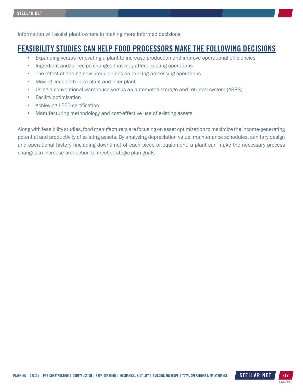information will assist plant owners in making more informed decisions.

#### FEASIBILITY STUDIES CAN HELP FOOD PROCESSORS MAKE THE FOLLOWING DECISIONS

- Expanding versus renovating a plant to increase production and improve operational efficiencies
- Ingredient and/or recipe changes that may affect existing operations
- The effect of adding new product lines on existing processing operations
- Moving lines both intra-plant and inter-plant
- Using a conventional warehouse versus an automated storage and retrieval system (ASRS)
- Facility optimization
- Achieving LEED certification
- Manufacturing methodology and cost-effective use of existing assets.

Along with feasibility studies, food manufacturers are focusing on asset optimization to maximize the income-generating potential and productivity of existing assets. By analyzing depreciation value, maintenance schedules, sanitary design and operational history (including downtime) of each piece of equipment, a plant can make the necessary process changes to increase production to meet strategic plan goals.